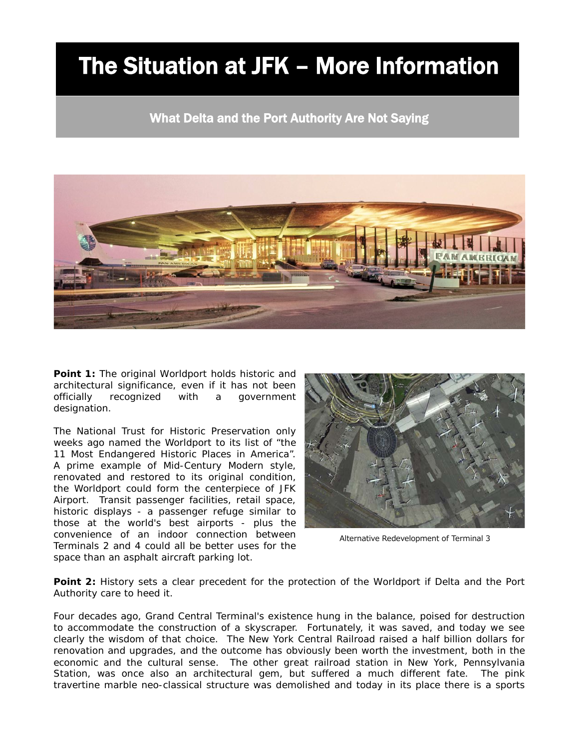## The Situation at JFK – More Information

What Delta and the Port Authority Are Not Saying



**Point 1:** *The original Worldport holds historic and architectural significance, even if it has not been officially recognized with a government designation.*

I

The National Trust for Historic Preservation only weeks ago named the Worldport to its list of "the 11 Most Endangered Historic Places in America". A prime example of Mid-Century Modern style, renovated and restored to its original condition, the Worldport could form the centerpiece of JFK Airport. Transit passenger facilities, retail space, historic displays - a passenger refuge similar to those at the world's best airports - plus the convenience of an indoor connection between Terminals 2 and 4 could all be better uses for the space than an asphalt aircraft parking lot.



Alternative Redevelopment of Terminal 3

**Point 2:** *History sets a clear precedent for the protection of the Worldport if Delta and the Port Authority care to heed it.* 

Four decades ago, Grand Central Terminal's existence hung in the balance, poised for destruction to accommodate the construction of a skyscraper. Fortunately, it was saved, and today we see clearly the wisdom of that choice. The New York Central Railroad raised a half billion dollars for renovation and upgrades, and the outcome has obviously been worth the investment, both in the economic and the cultural sense. The other great railroad station in New York, Pennsylvania Station, was once also an architectural gem, but suffered a much different fate. The pink travertine marble neo-classical structure was demolished and today in its place there is a sports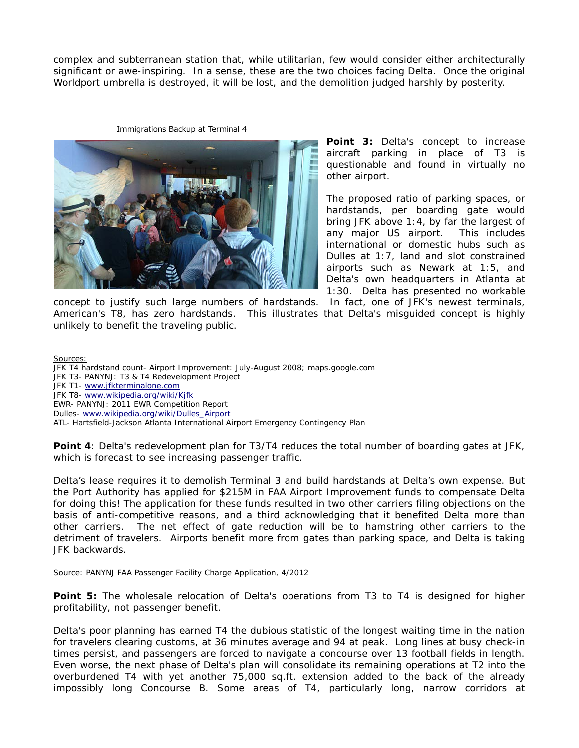complex and subterranean station that, while utilitarian, few would consider either architecturally significant or awe-inspiring. In a sense, these are the two choices facing Delta. Once the original Worldport umbrella is destroyed, it will be lost, and the demolition judged harshly by posterity.

## Immigrations Backup at Terminal 4



**Point 3:** *Delta's concept to increase aircraft parking in place of T3 is questionable and found in virtually no other airport.*

The proposed ratio of parking spaces, or hardstands, per boarding gate would bring JFK above 1:4, by far the largest of any major US airport. This includes international or domestic hubs such as Dulles at 1:7, land and slot constrained airports such as Newark at 1:5, and Delta's own headquarters in Atlanta at 1:30. Delta has presented no workable

concept to justify such large numbers of hardstands. In fact, one of JFK's newest terminals, American's T8, has zero hardstands. This illustrates that Delta's misguided concept is highly unlikely to benefit the traveling public.

Sources:

JFK T4 hardstand count- Airport Improvement: July-August 2008; maps.google.com JFK T3- PANYNJ: T3 & T4 Redevelopment Project JFK T1- [www.jfkterminalone.com](http://www.jfkterminalone.com/) JFK T8- [www.wikipedia.org/wiki/Kjfk](http://www.wikipedia.org/wiki/Kjfk) EWR- PANYNJ: 2011 EWR Competition Report Dulles- [www.wikipedia.org/wiki/Dulles\\_Airport](http://www.wikipedia.org/wiki/Dulles_Airport) ATL- Hartsfield-Jackson Atlanta International Airport Emergency Contingency Plan

**Point 4***: Delta's redevelopment plan for T3/T4 reduces the total number of boarding gates at JFK, which is forecast to see increasing passenger traffic.*

Delta's lease requires it to demolish Terminal 3 and build hardstands at Delta's own expense. But the Port Authority has applied for \$215M in FAA Airport Improvement funds to compensate Delta for doing this! The application for these funds resulted in two other carriers filing objections on the basis of anti-competitive reasons, and a third acknowledging that it benefited Delta more than other carriers. The net effect of gate reduction will be to hamstring other carriers to the detriment of travelers. Airports benefit more from gates than parking space, and Delta is taking JFK backwards.

Source: PANYNJ FAA Passenger Facility Charge Application, 4/2012

**Point 5:** *The wholesale relocation of Delta's operations from T3 to T4 is designed for higher profitability, not passenger benefit.*

Delta's poor planning has earned T4 the dubious statistic of the longest waiting time in the nation for travelers clearing customs, at 36 minutes average and 94 at peak. Long lines at busy check-in times persist, and passengers are forced to navigate a concourse over 13 football fields in length. Even worse, the next phase of Delta's plan will consolidate its remaining operations at T2 into the overburdened T4 with yet another 75,000 sq.ft. extension added to the back of the already impossibly long Concourse B. Some areas of T4, particularly long, narrow corridors at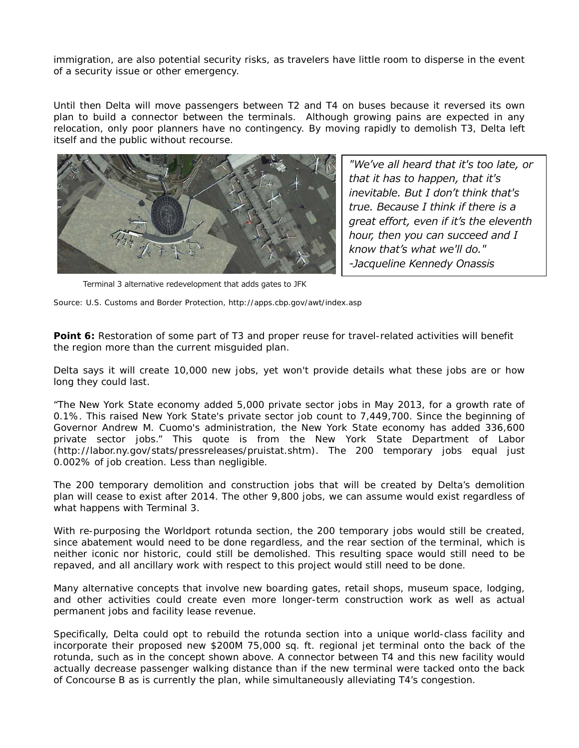immigration, are also potential security risks, as travelers have little room to disperse in the event of a security issue or other emergency.

Until then Delta will move passengers between T2 and T4 on buses because it reversed its own plan to build a connector between the terminals. Although growing pains are expected in any relocation, only poor planners have no contingency. By moving rapidly to demolish T3, Delta left itself and the public without recourse.



*"We've all heard that it's too late, or that it has to happen, that it's inevitable. But I don't think that's true. Because I think if there is a great effort, even if it's the eleventh hour, then you can succeed and I know that's what we'll do." -Jacqueline Kennedy Onassis*

Terminal 3 alternative redevelopment that adds gates to JFK

Source: U.S. Customs and Border Protection, http://apps.cbp.gov/awt/index.asp

## **Point 6:** *Restoration of some part of T3 and proper reuse for travel-related activities will benefit the region more than the current misguided plan.*

Delta says it will create 10,000 new jobs, yet won't provide details what these jobs are or how long they could last.

"The New York State economy added 5,000 private sector jobs in May 2013, for a growth rate of 0.1%. This raised New York State's private sector job count to 7,449,700. Since the beginning of Governor Andrew M. Cuomo's administration, the New York State economy has added 336,600 private sector jobs." This quote is from the New York State Department of Labor (http://labor.ny.gov/stats/pressreleases/pruistat.shtm). The 200 temporary jobs equal just 0.002% of job creation. Less than negligible.

The 200 temporary demolition and construction jobs that will be created by Delta's demolition plan will cease to exist after 2014. The other 9,800 jobs, we can assume would exist regardless of what happens with Terminal 3.

With re-purposing the Worldport rotunda section, the 200 temporary jobs would still be created, since abatement would need to be done regardless, and the rear section of the terminal, which is neither iconic nor historic, could still be demolished. This resulting space would still need to be repaved, and all ancillary work with respect to this project would still need to be done.

Many alternative concepts that involve new boarding gates, retail shops, museum space, lodging, and other activities could create even more longer-term construction work as well as actual permanent jobs and facility lease revenue.

Specifically, Delta could opt to rebuild the rotunda section into a unique world-class facility and incorporate their proposed new \$200M 75,000 sq. ft. regional jet terminal onto the back of the rotunda, such as in the concept shown above. A connector between T4 and this new facility would actually decrease passenger walking distance than if the new terminal were tacked onto the back of Concourse B as is currently the plan, while simultaneously alleviating T4's congestion.